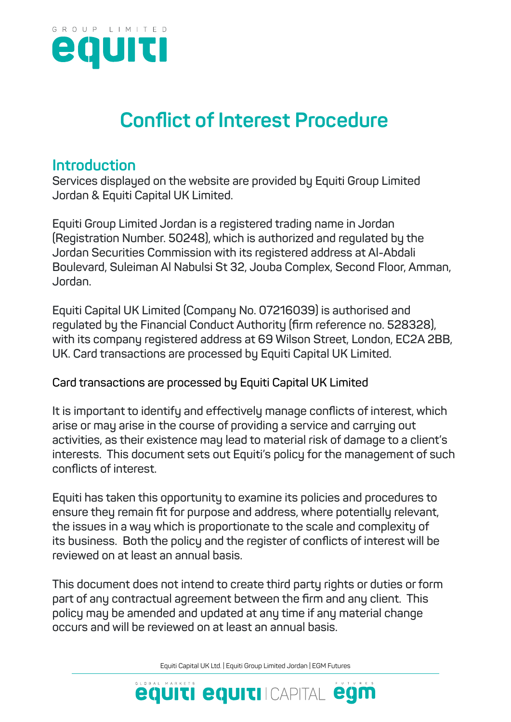

# **Conflict of Interest Procedure**

#### **Introduction**

**Services displayed on the website are provided by Equiti Group Limited Jordan & Equiti Capital UK Limited.**

**Equiti Group Limited Jordan is a registered trading name in Jordan (Registration Number. 50248), which is authorized and regulated by the Jordan Securities Commission with its registered address at Al-Abdali Boulevard, Suleiman Al Nabulsi St 32, Jouba Complex, Second Floor, Amman, Jordan.**

**Equiti Capital UK Limited (Company No. 07216039) is authorised and regulated by the Financial Conduct Authority (firm reference no. 528328), with its company registered address at 69 Wilson Street, London, EC2A 2BB, UK. Card transactions are processed by Equiti Capital UK Limited.**

**Card transactions are processed by Equiti Capital UK Limited**

**It is important to identify and effectively manage conflicts of interest, which arise or may arise in the course of providing a service and carrying out activities, as their existence may lead to material risk of damage to a client's interests. This document sets out Equiti's policy for the management of such conflicts of interest.**

**Equiti has taken this opportunity to examine its policies and procedures to ensure they remain fit for purpose and address, where potentially relevant, the issues in a way which is proportionate to the scale and complexity of its business. Both the policy and the register of conflicts of interest will be reviewed on at least an annual basis.**

**This document does not intend to create third party rights or duties or form part of any contractual agreement between the firm and any client. This policy may be amended and updated at any time if any material change occurs and will be reviewed on at least an annual basis.**

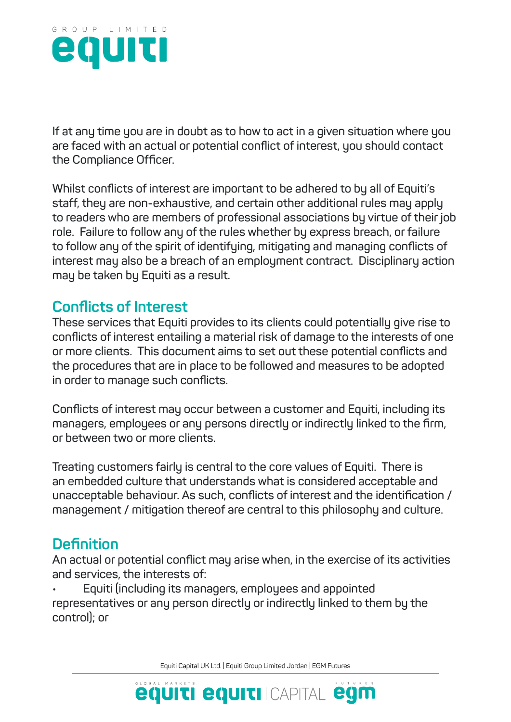

**If at any time you are in doubt as to how to act in a given situation where you are faced with an actual or potential conflict of interest, you should contact the Compliance Officer.**

**Whilst conflicts of interest are important to be adhered to by all of Equiti's staff, they are non-exhaustive, and certain other additional rules may apply to readers who are members of professional associations by virtue of their job role. Failure to follow any of the rules whether by express breach, or failure to follow any of the spirit of identifying, mitigating and managing conflicts of interest may also be a breach of an employment contract. Disciplinary action may be taken by Equiti as a result.**

## **Conflicts of Interest**

**These services that Equiti provides to its clients could potentially give rise to conflicts of interest entailing a material risk of damage to the interests of one or more clients. This document aims to set out these potential conflicts and the procedures that are in place to be followed and measures to be adopted in order to manage such conflicts.**

**Conflicts of interest may occur between a customer and Equiti, including its managers, employees or any persons directly or indirectly linked to the firm, or between two or more clients.**

**Treating customers fairly is central to the core values of Equiti. There is an embedded culture that understands what is considered acceptable and unacceptable behaviour. As such, conflicts of interest and the identification / management / mitigation thereof are central to this philosophy and culture.**

### **Definition**

**An actual or potential conflict may arise when, in the exercise of its activities and services, the interests of:**

**• Equiti (including its managers, employees and appointed representatives or any person directly or indirectly linked to them by the control); or**

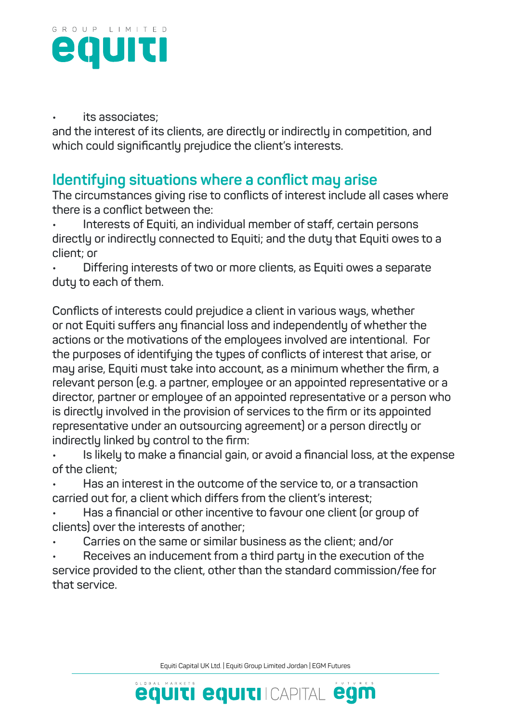

#### **• its associates;**

**and the interest of its clients, are directly or indirectly in competition, and which could significantly prejudice the client's interests.**

### **Identifying situations where a conflict may arise**

**The circumstances giving rise to conflicts of interest include all cases where there is a conflict between the:**

**• Interests of Equiti, an individual member of staff, certain persons directly or indirectly connected to Equiti; and the duty that Equiti owes to a client; or**

**• Differing interests of two or more clients, as Equiti owes a separate duty to each of them.**

**Conflicts of interests could prejudice a client in various ways, whether or not Equiti suffers any financial loss and independently of whether the actions or the motivations of the employees involved are intentional. For the purposes of identifying the types of conflicts of interest that arise, or may arise, Equiti must take into account, as a minimum whether the firm, a relevant person (e.g. a partner, employee or an appointed representative or a director, partner or employee of an appointed representative or a person who is directly involved in the provision of services to the firm or its appointed representative under an outsourcing agreement) or a person directly or indirectly linked by control to the firm:**

**• Is likely to make a financial gain, or avoid a financial loss, at the expense of the client;**

**• Has an interest in the outcome of the service to, or a transaction carried out for, a client which differs from the client's interest;**

**• Has a financial or other incentive to favour one client (or group of clients) over the interests of another;**

**• Carries on the same or similar business as the client; and/or**

**• Receives an inducement from a third party in the execution of the service provided to the client, other than the standard commission/fee for that service.**

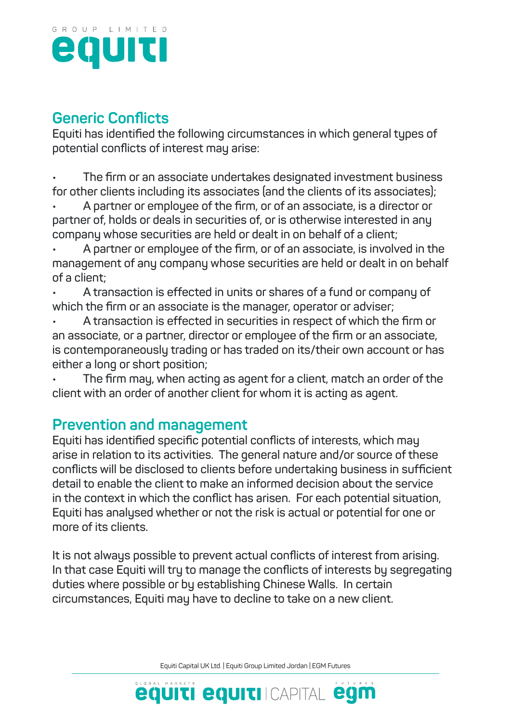

## **Generic Conflicts**

**Equiti has identified the following circumstances in which general types of potential conflicts of interest may arise:**

**• The firm or an associate undertakes designated investment business for other clients including its associates (and the clients of its associates);**

**• A partner or employee of the firm, or of an associate, is a director or partner of, holds or deals in securities of, or is otherwise interested in any company whose securities are held or dealt in on behalf of a client;**

**• A partner or employee of the firm, or of an associate, is involved in the management of any company whose securities are held or dealt in on behalf of a client;**

**• A transaction is effected in units or shares of a fund or company of which the firm or an associate is the manager, operator or adviser;**

**• A transaction is effected in securities in respect of which the firm or an associate, or a partner, director or employee of the firm or an associate, is contemporaneously trading or has traded on its/their own account or has either a long or short position;**

**• The firm may, when acting as agent for a client, match an order of the client with an order of another client for whom it is acting as agent.**

### **Prevention and management**

**Equiti has identified specific potential conflicts of interests, which may arise in relation to its activities. The general nature and/or source of these conflicts will be disclosed to clients before undertaking business in sufficient detail to enable the client to make an informed decision about the service in the context in which the conflict has arisen. For each potential situation, Equiti has analysed whether or not the risk is actual or potential for one or more of its clients.**

**It is not always possible to prevent actual conflicts of interest from arising. In that case Equiti will try to manage the conflicts of interests by segregating duties where possible or by establishing Chinese Walls. In certain circumstances, Equiti may have to decline to take on a new client.**

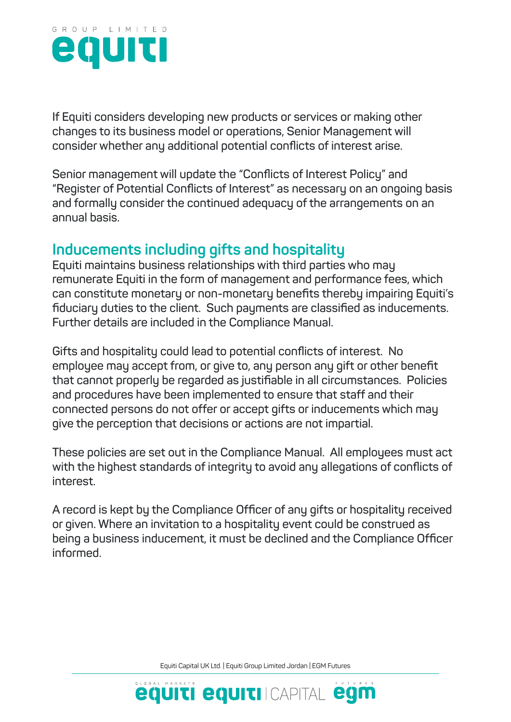

**If Equiti considers developing new products or services or making other changes to its business model or operations, Senior Management will consider whether any additional potential conflicts of interest arise.**

**Senior management will update the "Conflicts of Interest Policy" and "Register of Potential Conflicts of Interest" as necessary on an ongoing basis and formally consider the continued adequacy of the arrangements on an annual basis.**

## **Inducements including gifts and hospitality**

**Equiti maintains business relationships with third parties who may remunerate Equiti in the form of management and performance fees, which can constitute monetary or non-monetary benefits thereby impairing Equiti's fiduciary duties to the client. Such payments are classified as inducements. Further details are included in the Compliance Manual.**

**Gifts and hospitality could lead to potential conflicts of interest. No employee may accept from, or give to, any person any gift or other benefit that cannot properly be regarded as justifiable in all circumstances. Policies and procedures have been implemented to ensure that staff and their connected persons do not offer or accept gifts or inducements which may give the perception that decisions or actions are not impartial.**

**These policies are set out in the Compliance Manual. All employees must act with the highest standards of integrity to avoid any allegations of conflicts of interest.**

**A record is kept by the Compliance Officer of any gifts or hospitality received or given. Where an invitation to a hospitality event could be construed as being a business inducement, it must be declined and the Compliance Officer informed.**

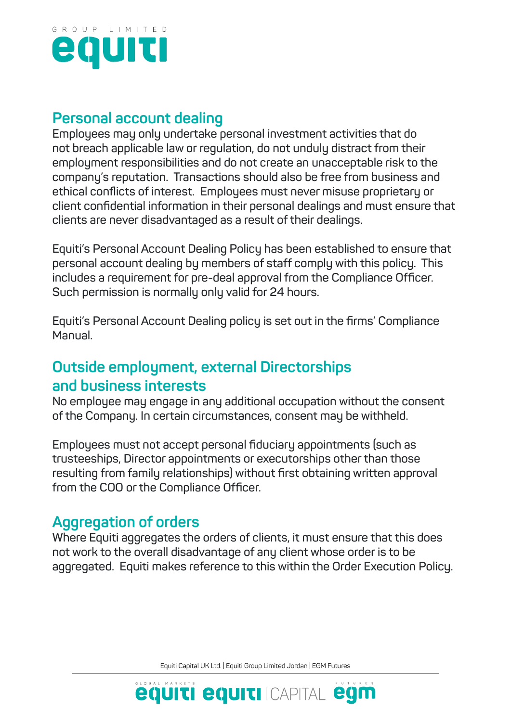

#### **Personal account dealing**

**Employees may only undertake personal investment activities that do not breach applicable law or regulation, do not unduly distract from their employment responsibilities and do not create an unacceptable risk to the company's reputation. Transactions should also be free from business and ethical conflicts of interest. Employees must never misuse proprietary or client confidential information in their personal dealings and must ensure that clients are never disadvantaged as a result of their dealings.**

**Equiti's Personal Account Dealing Policy has been established to ensure that personal account dealing by members of staff comply with this policy. This includes a requirement for pre-deal approval from the Compliance Officer. Such permission is normally only valid for 24 hours.**

**Equiti's Personal Account Dealing policy is set out in the firms' Compliance Manual.**

## **Outside employment, external Directorships and business interests**

**No employee may engage in any additional occupation without the consent of the Company. In certain circumstances, consent may be withheld.**

**Employees must not accept personal fiduciary appointments (such as trusteeships, Director appointments or executorships other than those resulting from family relationships) without first obtaining written approval from the COO or the Compliance Officer.**

## **Aggregation of orders**

**Where Equiti aggregates the orders of clients, it must ensure that this does not work to the overall disadvantage of any client whose order is to be aggregated. Equiti makes reference to this within the Order Execution Policy.**

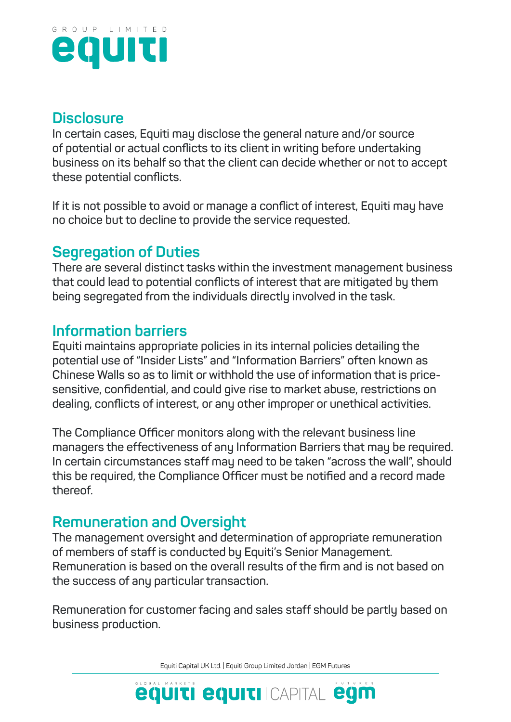

#### **Disclosure**

**In certain cases, Equiti may disclose the general nature and/or source of potential or actual conflicts to its client in writing before undertaking business on its behalf so that the client can decide whether or not to accept these potential conflicts.**

**If it is not possible to avoid or manage a conflict of interest, Equiti may have no choice but to decline to provide the service requested.**

## **Segregation of Duties**

**There are several distinct tasks within the investment management business that could lead to potential conflicts of interest that are mitigated by them being segregated from the individuals directly involved in the task.**

## **Information barriers**

**Equiti maintains appropriate policies in its internal policies detailing the potential use of "Insider Lists" and "Information Barriers" often known as Chinese Walls so as to limit or withhold the use of information that is pricesensitive, confidential, and could give rise to market abuse, restrictions on dealing, conflicts of interest, or any other improper or unethical activities.**

**The Compliance Officer monitors along with the relevant business line managers the effectiveness of any Information Barriers that may be required. In certain circumstances staff may need to be taken "across the wall", should this be required, the Compliance Officer must be notified and a record made thereof.**

## **Remuneration and Oversight**

**The management oversight and determination of appropriate remuneration of members of staff is conducted by Equiti's Senior Management. Remuneration is based on the overall results of the firm and is not based on the success of any particular transaction.**

**Remuneration for customer facing and sales staff should be partly based on business production.**